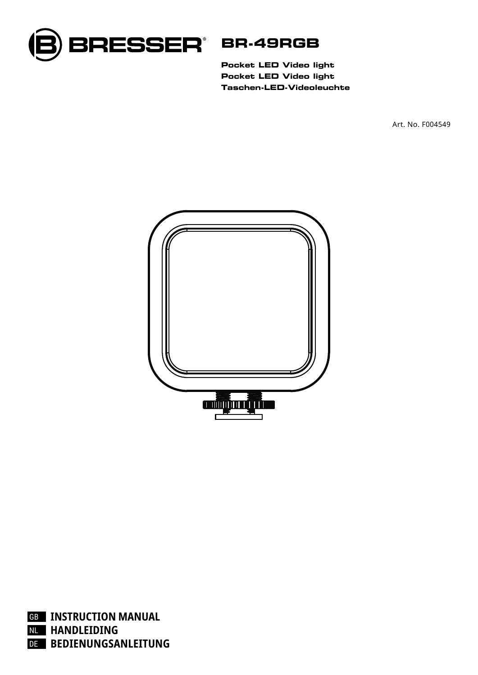

**Pocket LED Video light Pocket LED Video light Taschen-LED-Videoleuchte**

Art. No. F004549



GB **INSTRUCTION MANUAL** NL **HANDLEIDING** DE **BEDIENUNGSANLEITUNG**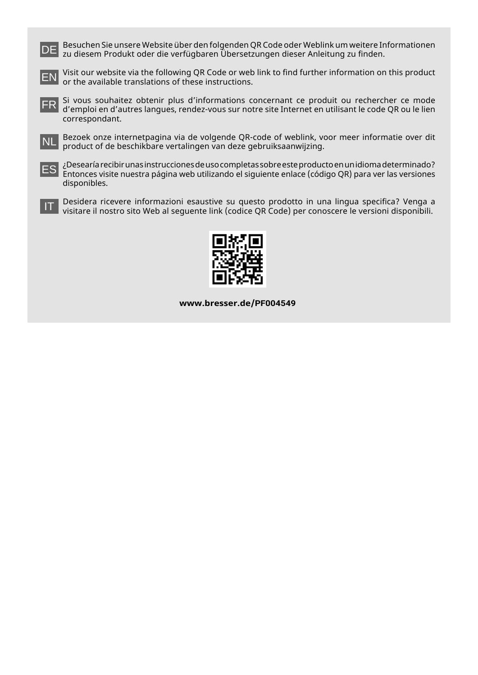DE Besuchen Sie unsere Website über den folgenden QR Code oder Weblink um weitere Informationen zu diesem Produkt oder die verfügbaren Übersetzungen dieser Anleitung zu finden.



EN Visit our website via the following QR Code or web link to find further information on this product or the available translations of these instructions.

FR Si vous souhaitez obtenir plus d'informations concernant ce produit ou rechercher ce mode<br>TR d'emploi en d'autres langues rendez-vous sur notre site Internet en utilisant le code OR ou le lien d'emploi en d'autres langues, rendez-vous sur notre site Internet en utilisant le code QR ou le lien correspondant.

NL Bezoek onze internetpagina via de volgende QR-code of weblink, voor meer informatie over dit<br>NL product of de beschikbare vertalingen van deze gebruiksaanwijzing product of de beschikbare vertalingen van deze gebruiksaanwijzing.



ES ¿Desearía recibir unas instrucciones de uso completas sobre este producto en un idioma determinado? Entonces visite nuestra página web utilizando el siguiente enlace (código QR) para ver las versiones disponibles.

IT Desidera ricevere informazioni esaustive su questo prodotto in una lingua specifica? Venga a visitare il nostro sito Web al seguente link (codice QR Code) per conoscere le versioni disponibili.



**www.bresser.de/PF004549**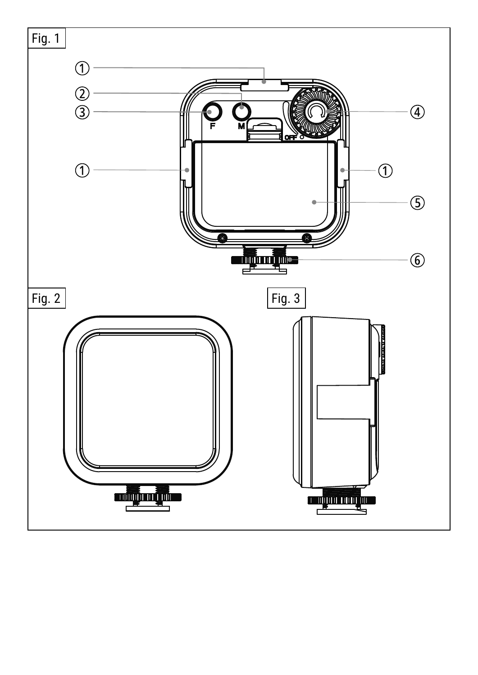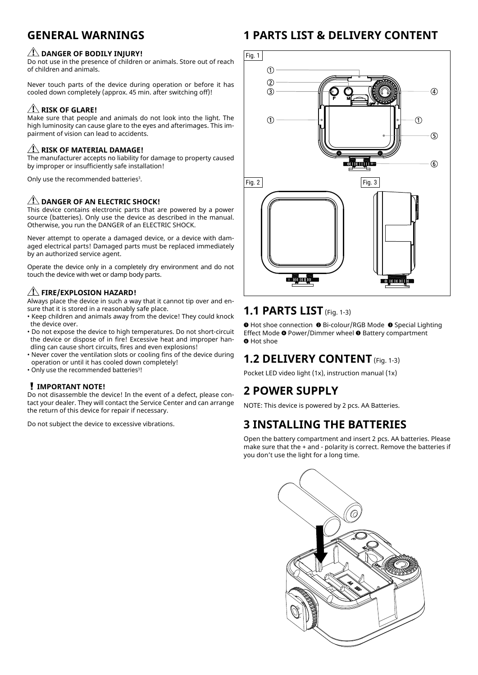# **GENERAL WARNINGS**

#### $\sqrt{1}$  DANGER OF BODILY INJURY!

Do not use in the presence of children or animals. Store out of reach of children and animals.

Never touch parts of the device during operation or before it has cooled down completely (approx. 45 min. after switching off)!

#### **AN RISK OF GLARE!**

Make sure that people and animals do not look into the light. The high luminosity can cause glare to the eyes and afterimages. This impairment of vision can lead to accidents.

#### *AI* RISK OF MATERIAL DAMAGE!

The manufacturer accepts no liability for damage to property caused by improper or insufficiently safe installation!

Only use the recommended batteries<sup>3</sup>.

#### **ZI DANGER OF AN ELECTRIC SHOCK!**

This device contains electronic parts that are powered by a power source (batteries). Only use the device as described in the manual. Otherwise, you run the DANGER of an ELECTRIC SHOCK.

Never attempt to operate a damaged device, or a device with damaged electrical parts! Damaged parts must be replaced immediately by an authorized service agent.

Operate the device only in a completely dry environment and do not touch the device with wet or damp body parts.

#### **FIRE/EXPLOSION HAZARD!**

Always place the device in such a way that it cannot tip over and ensure that it is stored in a reasonably safe place.

- Keep children and animals away from the device! They could knock the device over.
- Do not expose the device to high temperatures. Do not short-circuit the device or dispose of in fire! Excessive heat and improper handling can cause short circuits, fires and even explosions!
- Never cover the ventilation slots or cooling fins of the device during operation or until it has cooled down completely!
- Only use the recommended batteries<sup>3</sup>!

#### **IMPORTANT NOTE!**

Do not disassemble the device! In the event of a defect, please contact your dealer. They will contact the Service Center and can arrange the return of this device for repair if necessary.

Do not subject the device to excessive vibrations.

# **1 PARTS LIST & DELIVERY CONTENT**



### **1.1 PARTS LIST** (Fig. 1-3)

**O** Hot shoe connection <sup>●</sup> Bi-colour/RGB Mode ● Special Lighting Effect Mode @ Power/Dimmer wheel @ Battery compartment **O** Hot shoe

## **1.2 DELIVERY CONTENT** (Fig. 1-3)

Pocket LED video light (1x), instruction manual (1x)

## **2 POWER SUPPLY**

NOTE: This device is powered by 2 pcs. AA Batteries.

## **3 INSTALLING THE BATTERIES**

Open the battery compartment and insert 2 pcs. AA batteries. Please make sure that the + and - polarity is correct. Remove the batteries if you don't use the light for a long time.

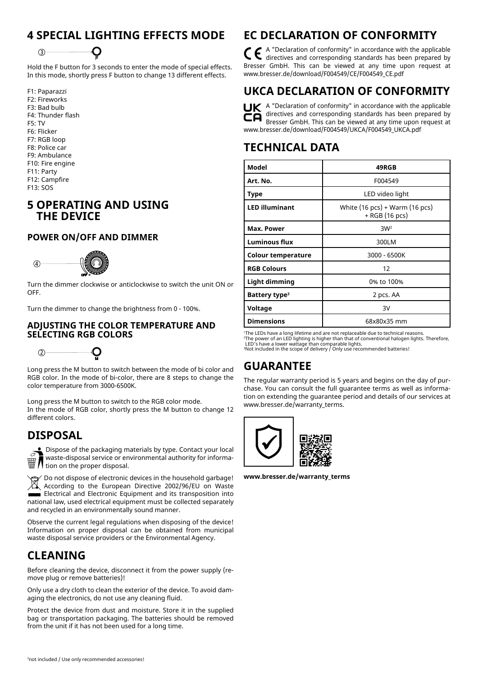# **4 SPECIAL LIGHTING EFFECTS MODE**



Hold the F button for 3 seconds to enter the mode of special effects. In this mode, shortly press F button to change 13 different effects.

F1: Paparazzi F2: Fireworks F3: Bad bulb F4: Thunder flash F5: TV F6: Flicker F7: RGB loop F8: Police car F9: Ambulance F10: Fire engine F11: Party F12: Campfire F13: SOS

### **5 OPERATING AND USING THE DEVICE**

#### **POWER ON/OFF AND DIMMER**



Turn the dimmer clockwise or anticlockwise to switch the unit ON or 4 OFF.

Turn the dimmer to change the brightness from 0 - 100%.

#### 2 **SELECTING RGB COLORS ADJUSTING THE COLOR TEMPERATURE AND**

 $(2)$ 

Long press the M button to switch between the mode of bi color and RGB color. In the mode of bi-color, there are 8 steps to change the color temperature from 3000-6500K.

3 Long press the M button to switch to the RGB color mode. different colors. In the mode of RGB color, shortly press the M button to change 12

### **DISPOSAL**



 $\sum$  Dispose of the packaging materials by type. Contact your local waste-disposal service or environmental authority for informa- $\mathbb{H}$  N waste-cusposed Jermin and  $\mathbb{H}$  tion on the proper disposal.

Do not dispose of electronic devices in the household garbage! According to the European Directive 2002/96/EU on Waste **Electrical and Electronic Equipment and its transposition into** national law, used electrical equipment must be collected separately and recycled in an environmentally sound manner.

Observe the current legal regulations when disposing of the device! Information on proper disposal can be obtained from municipal waste disposal service providers or the Environmental Agency.

# **CLEANING**

Before cleaning the device, disconnect it from the power supply (remove plug or remove batteries)!

Only use a dry cloth to clean the exterior of the device. To avoid damaging the electronics, do not use any cleaning fluid.

Protect the device from dust and moisture. Store it in the supplied bag or transportation packaging. The batteries should be removed from the unit if it has not been used for a long time.

# **EC DECLARATION OF CONFORMITY**

A "Declaration of conformity" in accordance with the applicable directives and corresponding standards has been prepared by Bresser GmbH. This can be viewed at any time upon request at www.bresser.de/download/F004549/CE/F004549\_CE.pdf

# **UKCA DECLARATION OF CONFORMITY**

 $\mathbf{u}$  A "Declaration of conformity" in accordance with the applicable directives and corresponding standards has been prepared by Bresser GmbH. This can be viewed at any time upon request at www.bresser.de/download/F004549/UKCA/F004549\_UKCA.pdf

### **TECHNICAL DATA**

| Model                     | 49RGB                                              |
|---------------------------|----------------------------------------------------|
| Art. No.                  | F004549                                            |
| Type                      | LED video light                                    |
| <b>LED illuminant</b>     | White $(16 pcs) + Warm (16 pcs)$<br>+ RGB (16 pcs) |
| Max. Power                | 3W <sup>2</sup>                                    |
| <b>Luminous flux</b>      | 300LM                                              |
| Colour temperature        | 3000 - 6500K                                       |
| <b>RGB Colours</b>        | 12                                                 |
| Light dimming             | 0% to 100%                                         |
| Battery type <sup>3</sup> | 2 pcs. AA                                          |
| Voltage                   | 3V                                                 |
| <b>Dimensions</b>         | 68x80x35 mm                                        |

'The LEDs have a long lifetime and are not replaceable due to technical reasons.<br><sup>-</sup>The power of an LED lighting is higher than that of conventional halogen lights. Therefore,<br>\_LED's have a lower wattage than comparable l

### **GUARANTEE**

The regular warranty period is 5 years and begins on the day of purchase. You can consult the full guarantee terms as well as information on extending the guarantee period and details of our services at www.bresser.de/warranty\_terms.



**www.bresser.de/warranty\_terms**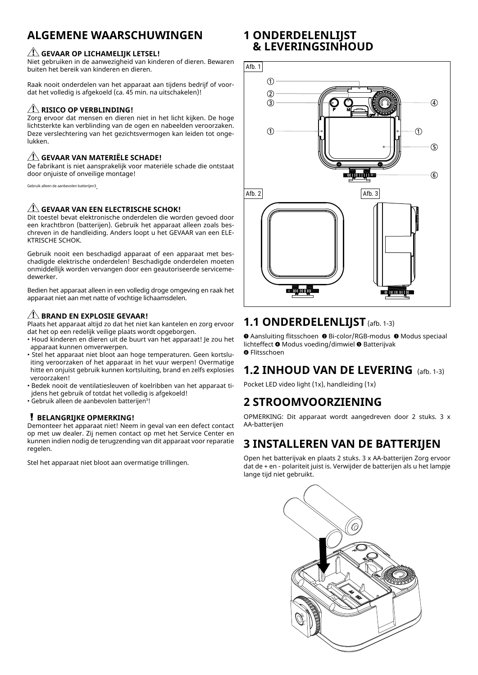# **ALGEMENE WAARSCHUWINGEN**

#### **GEVAAR OP LICHAMELIJK LETSEL!**

Niet gebruiken in de aanwezigheid van kinderen of dieren. Bewaren buiten het bereik van kinderen en dieren.

Raak nooit onderdelen van het apparaat aan tijdens bedrijf of voordat het volledig is afgekoeld (ca. 45 min. na uitschakelen)!

#### **AND RISICO OP VERBLINDING!**

Zorg ervoor dat mensen en dieren niet in het licht kijken. De hoge lichtsterkte kan verblinding van de ogen en nabeelden veroorzaken. Deze verslechtering van het gezichtsvermogen kan leiden tot ongelukken.

#### **GEVAAR VAN MATERIËLE SCHADE!**

De fabrikant is niet aansprakelijk voor materiële schade die ontstaat door onjuiste of onveilige montage!

Gebruik alleen de aanbevolen batterijen3.

#### **ALL** GEVAAR VAN EEN ELECTRISCHE SCHOK!

Dit toestel bevat elektronische onderdelen die worden gevoed door een krachtbron (batterijen). Gebruik het apparaat alleen zoals beschreven in de handleiding. Anders loopt u het GEVAAR van een ELE-KTRISCHE SCHOK.

Gebruik nooit een beschadigd apparaat of een apparaat met beschadigde elektrische onderdelen! Beschadigde onderdelen moeten onmiddellijk worden vervangen door een geautoriseerde servicemedewerker.

Bedien het apparaat alleen in een volledig droge omgeving en raak het apparaat niet aan met natte of vochtige lichaamsdelen.

#### *A* **BRAND EN EXPLOSIE GEVAAR!**

Plaats het apparaat altijd zo dat het niet kan kantelen en zorg ervoor dat het op een redelijk veilige plaats wordt opgeborgen.

- Houd kinderen en dieren uit de buurt van het apparaat! Je zou het apparaat kunnen omverwerpen.
- Stel het apparaat niet bloot aan hoge temperaturen. Geen kortsluiting veroorzaken of het apparaat in het vuur werpen! Overmatige hitte en onjuist gebruik kunnen kortsluiting, brand en zelfs explosies veroorzaken!
- Bedek nooit de ventilatiesleuven of koelribben van het apparaat tijdens het gebruik of totdat het volledig is afgekoeld!
- Gebruik alleen de aanbevolen batterijen<sup>3</sup> !

#### **BELANGRIJKE OPMERKING!**

Demonteer het apparaat niet! Neem in geval van een defect contact op met uw dealer. Zij nemen contact op met het Service Center en kunnen indien nodig de terugzending van dit apparaat voor reparatie regelen.

Stel het apparaat niet bloot aan overmatige trillingen.

### **1 ONDERDELENLIJST & LEVERINGSINHOUD**



## **1.1 ONDERDELENLIJST** (afb. 1-3)

 $\bullet$  Aansluiting flitsschoen  $\bullet$  Bi-color/RGB-modus  $\bullet$  Modus speciaal lichteffect  $\bullet$  Modus voeding/dimwiel  $\bullet$  Batterijvak **O** Flitsschoen

## **1.2 INHOUD VAN DE LEVERING** (afb. 1-3)

Pocket LED video light (1x), handleiding (1x)

### **2 STROOMVOORZIENING**

OPMERKING: Dit apparaat wordt aangedreven door 2 stuks. 3 x AA-batterijen

### **3 INSTALLEREN VAN DE BATTERIJEN**

Open het batterijvak en plaats 2 stuks. 3 x AA-batterijen Zorg ervoor dat de + en - polariteit juist is. Verwijder de batterijen als u het lampje lange tijd niet gebruikt.

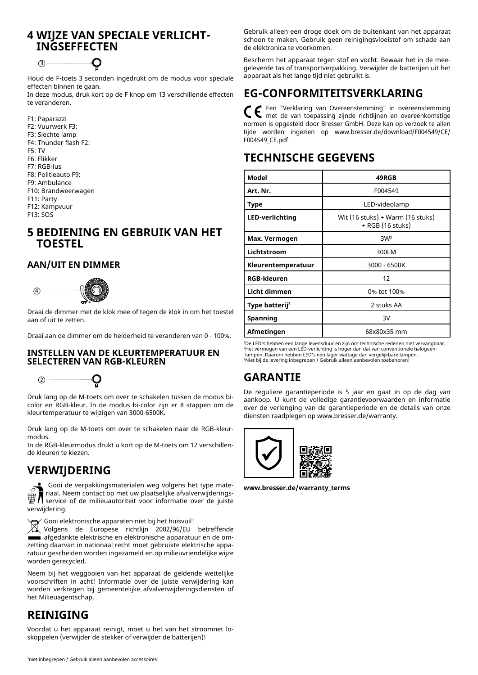### **4 WIJZE VAN SPECIALE VERLICHT-INGSEFFECTEN**



Houd de F-toets 3 seconden ingedrukt om de modus voor speciale effecten binnen te gaan.

In deze modus, druk kort op de F knop om 13 verschillende effecten te veranderen.

F1: Paparazzi F2: Vuurwerk F3: F3: Slechte lamp F4: Thunder flash F2: F5: TV F6: Flikker F7: RGB-lus F8: Politieauto F9: F9: Ambulance F10: Brandweerwagen F11: Party F12: Kampvuur F13: SOS

### **5 BEDIENING EN GEBRUIK VAN HET TOESTEL**

#### **AAN/UIT EN DIMMER**



Draai de dimmer met de klok mee of tegen de klok in om het toestel 4 aan of uit te zetten.

Draai aan de dimmer om de helderheid te veranderen van 0 - 100%.

#### 2 **SELECTEREN VAN RGB-KLEUREN INSTELLEN VAN DE KLEURTEMPERATUUR EN**



Druk lang op de M-toets om over te schakelen tussen de modus bicolor en RGB-kleur. In de modus bi-color zijn er 8 stappen om de kleurtemperatuur te wijzigen van 3000-6500K.

3 Druk lang op de M-toets om over te schakelen naar de RGB-kleurmodus.

3 In de RGB-kleurmodus drukt u kort op de M-toets om 12 verschillende kleuren te kiezen.

## **VERWIJDERING**

 Gooi de verpakkingsmaterialen weg volgens het type materiaal. Neem contact op met uw plaatselijke afvalverwijderingsservice of de milieuautoriteit voor informatie over de juiste verwijdering.

Gooi elektronische apparaten niet bij het huisvuil!

Volgens de Europese richtlijn 2002/96/EU betreffende afgedankte elektrische en elektronische apparatuur en de omzetting daarvan in nationaal recht moet gebruikte elektrische apparatuur gescheiden worden ingezameld en op milieuvriendelijke wijze worden gerecycled.

Neem bij het weggooien van het apparaat de geldende wettelijke voorschriften in acht! Informatie over de juiste verwijdering kan worden verkregen bij gemeentelijke afvalverwijderingsdiensten of het Milieuagentschap.

# **REINIGING**

Voordat u het apparaat reinigt, moet u het van het stroomnet loskoppelen (verwijder de stekker of verwijder de batterijen)!

Gebruik alleen een droge doek om de buitenkant van het apparaat schoon te maken. Gebruik geen reinigingsvloeistof om schade aan de elektronica te voorkomen.

Bescherm het apparaat tegen stof en vocht. Bewaar het in de meegeleverde tas of transportverpakking. Verwijder de batterijen uit het apparaat als het lange tijd niet gebruikt is.

## **EG-CONFORMITEITSVERKLARING**

Een "Verklaring van Overeenstemming" in overeenstemming met de van toepassing zijnde richtlijnen en overeenkomstige normen is opgesteld door Bresser GmbH. Deze kan op verzoek te allen tijde worden ingezien op www.bresser.de/download/F004549/CE/ F004549\_CE.pdf

### **TECHNISCHE GEGEVENS**

| Model                      | 49RGB                                                |
|----------------------------|------------------------------------------------------|
| Art. Nr.                   | F004549                                              |
| Type                       | LED-videolamp                                        |
| LED-verlichting            | Wit (16 stuks) + Warm (16 stuks)<br>+ RGB (16 stuks) |
| Max. Vermogen              | 3W <sup>2</sup>                                      |
| Lichtstroom                | 300LM                                                |
| Kleurentemperatuur         | 3000 - 6500K                                         |
| <b>RGB-kleuren</b>         | 12                                                   |
| Licht dimmen               | 0% tot 100%                                          |
| Type batterij <sup>3</sup> | 2 stuks AA                                           |
| Spanning                   | 3V                                                   |
| Afmetingen                 | 68x80x35 mm                                          |

1 De LED's hebben een lange levensduur en zijn om technische redenen niet vervangbaar. 2 Het vermogen van een LED-verlichting is hoger dan dat van conventionele halogeenlampen. Daarom hebben LED's een lager wattage dan vergelijkbare lampen. 3 Niet bij de levering inbegrepen / Gebruik alleen aanbevolen toebehoren!

## **GARANTIE**

De reguliere garantieperiode is 5 jaar en gaat in op de dag van aankoop. U kunt de volledige garantievoorwaarden en informatie over de verlenging van de garantieperiode en de details van onze diensten raadplegen op www.bresser.de/warranty.



**www.bresser.de/warranty\_terms**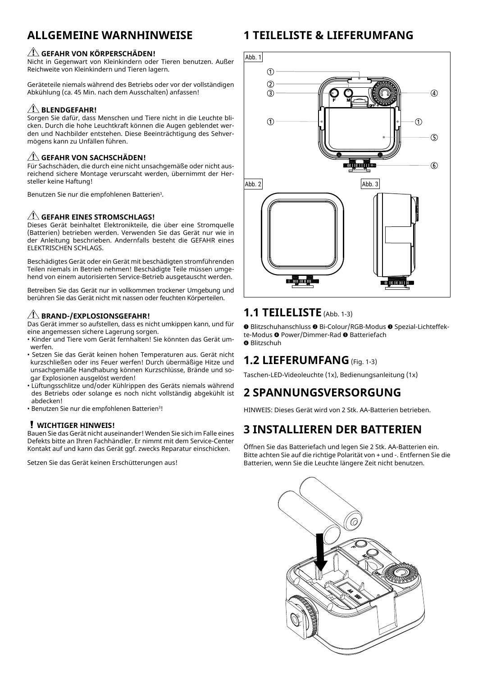## **ALLGEMEINE WARNHINWEISE**

#### **AL GEFAHR VON KÖRPERSCHÄDEN!**

Nicht in Gegenwart von Kleinkindern oder Tieren benutzen. Außer Reichweite von Kleinkindern und Tieren lagern.

Geräteteile niemals während des Betriebs oder vor der vollständigen Abkühlung (ca. 45 Min. nach dem Ausschalten) anfassen!

#### **BLENDGEFAHR!**

Sorgen Sie dafür, dass Menschen und Tiere nicht in die Leuchte blicken. Durch die hohe Leuchtkraft können die Augen geblendet werden und Nachbilder entstehen. Diese Beeinträchtigung des Sehvermögens kann zu Unfällen führen.

#### **GEFAHR VON SACHSCHÄDEN!**

Für Sachschäden, die durch eine nicht unsachgemäße oder nicht ausreichend sichere Montage verurscaht werden, übernimmt der Hersteller keine Haftung!

Benutzen Sie nur die empfohlenen Batterien<sup>3</sup>.

#### **ANGLE GEFAHR EINES STROMSCHLAGS!**

Dieses Gerät beinhaltet Elektronikteile, die über eine Stromquelle (Batterien) betrieben werden. Verwenden Sie das Gerät nur wie in der Anleitung beschrieben. Andernfalls besteht die GEFAHR eines ELEKTRISCHEN SCHLAGS.

Beschädigtes Gerät oder ein Gerät mit beschädigten stromführenden Teilen niemals in Betrieb nehmen! Beschädigte Teile müssen umgehend von einem autorisierten Service-Betrieb ausgetauscht werden.

Betreiben Sie das Gerät nur in vollkommen trockener Umgebung und berühren Sie das Gerät nicht mit nassen oder feuchten Körperteilen.

#### *AI* BRAND-/EXPLOSIONSGEFAHR!

Das Gerät immer so aufstellen, dass es nicht umkippen kann, und für eine angemessen sichere Lagerung sorgen.

- Kinder und Tiere vom Gerät fernhalten! Sie könnten das Gerät umwerfen.
- Setzen Sie das Gerät keinen hohen Temperaturen aus. Gerät nicht kurzschließen oder ins Feuer werfen! Durch übermäßige Hitze und unsachgemäße Handhabung können Kurzschlüsse, Brände und sogar Explosionen ausgelöst werden!
- Lüftungsschlitze und/oder Kühlrippen des Geräts niemals während des Betriebs oder solange es noch nicht vollständig abgekühlt ist abdecken!
- Benutzen Sie nur die empfohlenen Batterien<sup>3</sup>!

#### **WICHTIGER HINWEIS!**

Bauen Sie das Gerät nicht auseinander! Wenden Sie sich im Falle eines Defekts bitte an Ihren Fachhändler. Er nimmt mit dem Service-Center Kontakt auf und kann das Gerät ggf. zwecks Reparatur einschicken.

Setzen Sie das Gerät keinen Erschütterungen aus!

## **1 TEILELISTE & LIEFERUMFANG**



### **1.1 TEILELISTE** (Abb. 1-3)

**O** Blitzschuhanschluss <sup>O</sup> Bi-Colour/RGB-Modus <sup>O</sup> Spezial-Lichteffekte-Modus <sup>o</sup> Power/Dimmer-Rad <sup>o</sup> Batteriefach

**O** Blitzschuh

## **1.2 LIEFERUMFANG** (Fig. 1-3)

Taschen-LED-Videoleuchte (1x), Bedienungsanleitung (1x)

## **2 SPANNUNGSVERSORGUNG**

HINWEIS: Dieses Gerät wird von 2 Stk. AA-Batterien betrieben.

# **3 INSTALLIEREN DER BATTERIEN**

Öffnen Sie das Batteriefach und legen Sie 2 Stk. AA-Batterien ein. Bitte achten Sie auf die richtige Polarität von + und -. Entfernen Sie die Batterien, wenn Sie die Leuchte längere Zeit nicht benutzen.

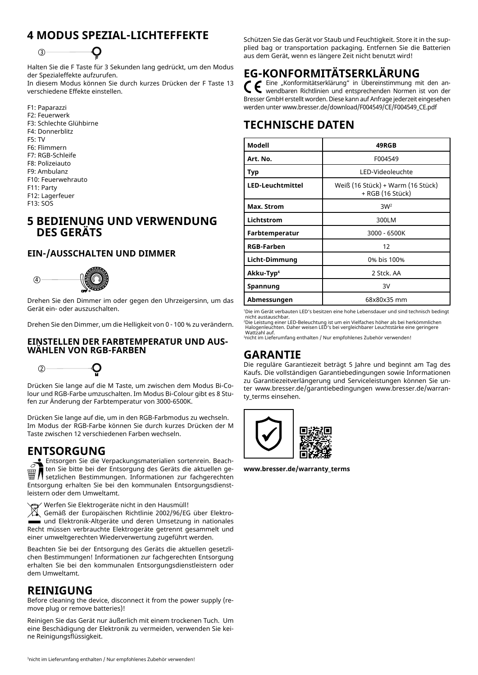# **4 MODUS SPEZIAL-LICHTEFFEKTE**



Halten Sie die F Taste für 3 Sekunden lang gedrückt, um den Modus der Spezialeffekte aufzurufen.

In diesem Modus können Sie durch kurzes Drücken der F Taste 13 verschiedene Effekte einstellen.

F1: Paparazzi F2: Feuerwerk F3: Schlechte Glühbirne F4: Donnerblitz F5: TV F6: Flimmern F7: RGB-Schleife F8: Polizeiauto F9: Ambulanz F10: Feuerwehrauto F11: Party F12: Lagerfeuer F13: SOS

### **5 BEDIENUNG UND VERWENDUNG DES GERÄTS**

#### **EIN-/AUSSCHALTEN UND DIMMER**



Drehen Sie den Dimmer im oder gegen den Uhrzeigersinn, um das 4 Gerät ein- oder auszuschalten.

Drehen Sie den Dimmer, um die Helligkeit von 0 - 100 % zu verändern.

#### 2 **WÄHLEN VON RGB-FARBEN EINSTELLEN DER FARBTEMPERATUR UND AUS-**



Drücken Sie lange auf die M Taste, um zwischen dem Modus Bi-Colour und RGB-Farbe umzuschalten. Im Modus Bi-Colour gibt es 8 Stufen zur Änderung der Farbtemperatur von 3000-6500K.

3 Drücken Sie lange auf die, um in den RGB-Farbmodus zu wechseln. 3 Taste zwischen 12 verschiedenen Farben wechseln. Im Modus der RGB-Farbe können Sie durch kurzes Drücken der M

### **ENTSORGUNG**

Entsorgen Sie die Verpackungsmaterialien sortenrein. Beachten Sie bitte bei der Entsorgung des Geräts die aktuellen gesetzlichen Bestimmungen. Informationen zur fachgerechten Entsorgung erhalten Sie bei den kommunalen Entsorgungsdienstleistern oder dem Umweltamt.

Werfen Sie Elektrogeräte nicht in den Hausmüll!

Werten sie Elektrogerate nicht in den Hausmuil!<br>2002/96/EG über Elektround Elektronik-Altgeräte und deren Umsetzung in nationales Recht müssen verbrauchte Elektrogeräte getrennt gesammelt und einer umweltgerechten Wiederverwertung zugeführt werden.

Beachten Sie bei der Entsorgung des Geräts die aktuellen gesetzlichen Bestimmungen! Informationen zur fachgerechten Entsorgung erhalten Sie bei den kommunalen Entsorgungsdienstleistern oder dem Umweltamt.

### **REINIGUNG**

Before cleaning the device, disconnect it from the power supply (remove plug or remove batteries)!

Reinigen Sie das Gerät nur äußerlich mit einem trockenen Tuch. Um eine Beschädigung der Elektronik zu vermeiden, verwenden Sie keine Reinigungsflüssigkeit.

Schützen Sie das Gerät vor Staub und Feuchtigkeit. Store it in the supplied bag or transportation packaging. Entfernen Sie die Batterien aus dem Gerät, wenn es längere Zeit nicht benutzt wird!

# **EG-KONFORMITÄTSERKLÄRUNG**

Eine "Konformitätserklärung" in Übereinstimmung mit den anwendbaren Richtlinien und entsprechenden Normen ist von der Bresser GmbH erstellt worden. Diese kann auf Anfrage jederzeit eingesehen werden unter www.bresser.de/download/F004549/CE/F004549\_CE.pdf

# **TECHNISCHE DATEN**

| Modell                  | 49RGB                                                 |
|-------------------------|-------------------------------------------------------|
| Art. No.                | F004549                                               |
| Typ                     | LED-Videoleuchte                                      |
| <b>LED-Leuchtmittel</b> | Weiß (16 Stück) + Warm (16 Stück)<br>+ RGB (16 Stück) |
| Max. Strom              | 3W <sup>2</sup>                                       |
| Lichtstrom              | 300LM                                                 |
| Farbtemperatur          | 3000 - 6500K                                          |
| <b>RGB-Farben</b>       | 12                                                    |
| Licht-Dimmung           | 0% bis 100%                                           |
| Akku-Typ <sup>4</sup>   | 2 Stck. AA                                            |
| Spannung                | 3V                                                    |
| Abmessungen             | 68x80x35 mm                                           |

<sup>1</sup>Die im Gerät verbauten LED's besitzen eine hohe Lebensdauer und sind technisch bedingt

'Die im Gerät verbauten LED's besitzen eine hohe Lebensdauer und sind technisch bedingt<br>nicht austauschbar.<br>'Die Leistung einer LED-Beleuchtung ist um ein Vielfaches höher als bei herkömmlichen<br>Halogenleuchten. Daher weise

3 nicht im Lieferumfang enthalten / Nur empfohlenes Zubehör verwenden!

### **GARANTIE**

Die reguläre Garantiezeit beträgt 5 Jahre und beginnt am Tag des Kaufs. Die vollständigen Garantiebedingungen sowie Informationen zu Garantiezeitverlängerung und Serviceleistungen können Sie unter www.bresser.de/garantiebedingungen www.bresser.de/warranty\_terms einsehen.



**www.bresser.de/warranty\_terms**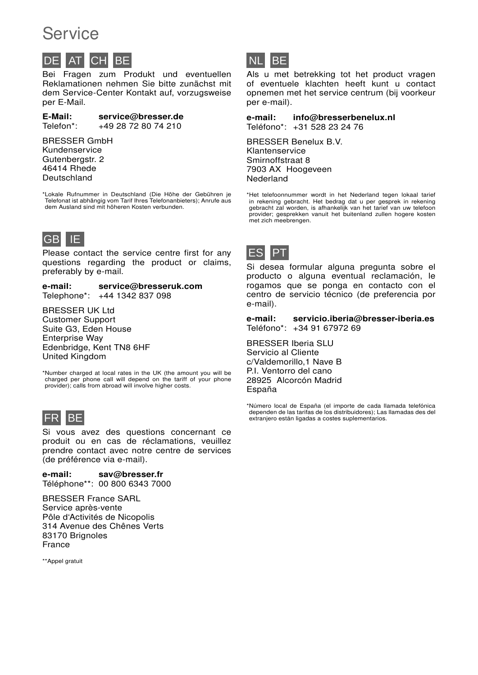# Service

# CH BE

Bei Fragen zum Produkt und eventuellen Reklamationen nehmen Sie bitte zunächst mit dem Service-Center Kontakt auf, vorzugsweise per E-Mail.

E-Mail: service@bresser.de Telefon\*: +49 28 72 80 74 210

#### BRESSER GmbH Kundenservice Gutenbergstr. 2 46414 Rhede Deutschland

\*Lokale Rufnummer in Deutschland (Die Höhe der Gebühren je Telefonat ist abhängig vom Tarif Ihres Telefonanbieters); Anrufe aus dem Ausland sind mit höheren Kosten verbunden.



Please contact the service centre first for any questions regarding the product or claims, preferably by e-mail.

e-mail: service@bresseruk.com Telephone\*: +44 1342 837 098

BRESSER UK Ltd Customer Support Suite G3, Eden House Enterprise Way Edenbridge, Kent TN8 6HF United Kingdom

\*Number charged at local rates in the UK (the amount you will be charged per phone call will depend on the tariff of your phone provider); calls from abroad will involve higher costs.



Si vous avez des questions concernant ce produit ou en cas de réclamations, veuillez prendre contact avec notre centre de services (de préférence via e-mail).

e-mail: sav@bresser.fr Téléphone\*\*: 00 800 6343 7000

BRESSER France SARL Service après-vente Pôle d'Activités de Nicopolis 314 Avenue des Chênes Verts 83170 Brignoles France

\*\*Appel gratuit



Als u met betrekking tot het product vragen of eventuele klachten heeft kunt u contact opnemen met het service centrum (bij voorkeur per e-mail).

e-mail: info@bresserbenelux.nl Teléfono\*: +31 528 23 24 76

BRESSER Benelux B.V. Klantenservice Smirnoffstraat 8 7903 AX Hoogeveen Nederland

\*Het telefoonnummer wordt in het Nederland tegen lokaal tarief in rekening gebracht. Het bedrag dat u per gesprek in rekening gebracht zal worden, is afhankelijk van het tarief van uw telefoon provider; gesprekken vanuit het buitenland zullen hogere kosten met zich meebrengen.



Si desea formular alguna pregunta sobre el producto o alguna eventual reclamación, le rogamos que se ponga en contacto con el centro de servicio técnico (de preferencia por e-mail).

e-mail: servicio.iberia@bresser-iberia.es Teléfono\*: +34 91 67972 69

BRESSER Iberia SLU Servicio al Cliente c/Valdemorillo,1 Nave B P.I. Ventorro del cano 28925 Alcorcón Madrid España

\*Número local de España (el importe de cada llamada telefónica dependen de las tarifas de los distribuidores); Las llamadas des del extranjero están ligadas a costes suplementarios.